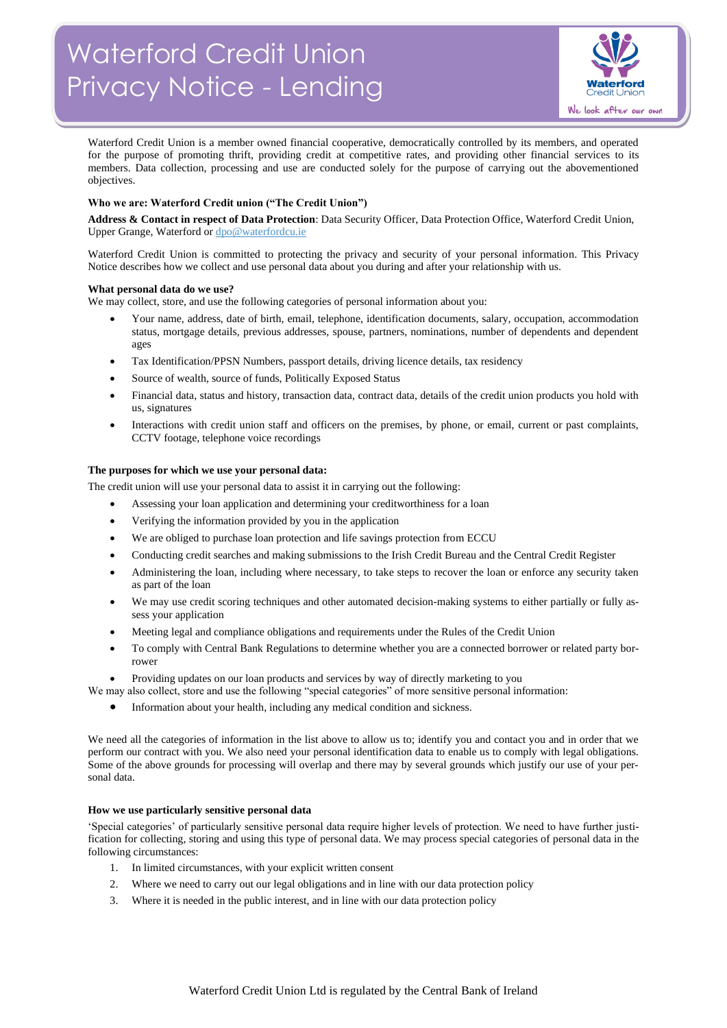

Waterford Credit Union is a member owned financial cooperative, democratically controlled by its members, and operated for the purpose of promoting thrift, providing credit at competitive rates, and providing other financial services to its members. Data collection, processing and use are conducted solely for the purpose of carrying out the abovementioned objectives.

# **Who we are: Waterford Credit union ("The Credit Union")**

**Address & Contact in respect of Data Protection**: Data Security Officer, Data Protection Office, Waterford Credit Union, Upper Grange, Waterford o[r dpo@waterfordcu.ie](mailto:dpo@waterfordcu.ie)

Waterford Credit Union is committed to protecting the privacy and security of your personal information. This Privacy Notice describes how we collect and use personal data about you during and after your relationship with us.

## **What personal data do we use?**

We may collect, store, and use the following categories of personal information about you:

- Your name, address, date of birth, email, telephone, identification documents, salary, occupation, accommodation status, mortgage details, previous addresses, spouse, partners, nominations, number of dependents and dependent ages
- Tax Identification/PPSN Numbers, passport details, driving licence details, tax residency
- Source of wealth, source of funds, Politically Exposed Status
- Financial data, status and history, transaction data, contract data, details of the credit union products you hold with us, signatures
- Interactions with credit union staff and officers on the premises, by phone, or email, current or past complaints, CCTV footage, telephone voice recordings

## **The purposes for which we use your personal data:**

The credit union will use your personal data to assist it in carrying out the following:

- Assessing your loan application and determining your creditworthiness for a loan
- Verifying the information provided by you in the application
- We are obliged to purchase loan protection and life savings protection from ECCU
- Conducting credit searches and making submissions to the Irish Credit Bureau and the Central Credit Register
- Administering the loan, including where necessary, to take steps to recover the loan or enforce any security taken as part of the loan
- We may use credit scoring techniques and other automated decision-making systems to either partially or fully assess your application
- Meeting legal and compliance obligations and requirements under the Rules of the Credit Union
- To comply with Central Bank Regulations to determine whether you are a connected borrower or related party borrower
- Providing updates on our loan products and services by way of directly marketing to you

We may also collect, store and use the following "special categories" of more sensitive personal information:

• Information about your health, including any medical condition and sickness.

We need all the categories of information in the list above to allow us to; identify you and contact you and in order that we perform our contract with you. We also need your personal identification data to enable us to comply with legal obligations. Some of the above grounds for processing will overlap and there may by several grounds which justify our use of your personal data.

## **How we use particularly sensitive personal data**

'Special categories' of particularly sensitive personal data require higher levels of protection. We need to have further justification for collecting, storing and using this type of personal data. We may process special categories of personal data in the following circumstances:

- 1. In limited circumstances, with your explicit written consent
- 2. Where we need to carry out our legal obligations and in line with our data protection policy
- 3. Where it is needed in the public interest, and in line with our data protection policy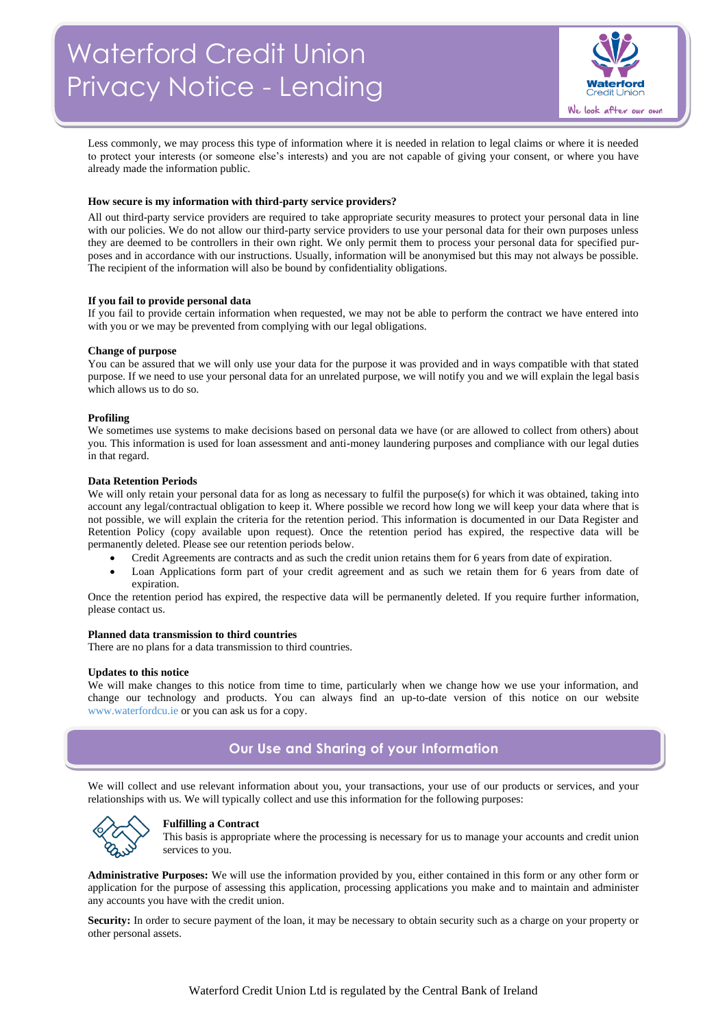

Less commonly, we may process this type of information where it is needed in relation to legal claims or where it is needed to protect your interests (or someone else's interests) and you are not capable of giving your consent, or where you have already made the information public.

#### **How secure is my information with third-party service providers?**

All out third-party service providers are required to take appropriate security measures to protect your personal data in line with our policies. We do not allow our third-party service providers to use your personal data for their own purposes unless they are deemed to be controllers in their own right. We only permit them to process your personal data for specified purposes and in accordance with our instructions. Usually, information will be anonymised but this may not always be possible. The recipient of the information will also be bound by confidentiality obligations.

#### **If you fail to provide personal data**

If you fail to provide certain information when requested, we may not be able to perform the contract we have entered into with you or we may be prevented from complying with our legal obligations.

#### **Change of purpose**

You can be assured that we will only use your data for the purpose it was provided and in ways compatible with that stated purpose. If we need to use your personal data for an unrelated purpose, we will notify you and we will explain the legal basis which allows us to do so.

#### **Profiling**

We sometimes use systems to make decisions based on personal data we have (or are allowed to collect from others) about you. This information is used for loan assessment and anti-money laundering purposes and compliance with our legal duties in that regard.

#### **Data Retention Periods**

We will only retain your personal data for as long as necessary to fulfil the purpose(s) for which it was obtained, taking into account any legal/contractual obligation to keep it. Where possible we record how long we will keep your data where that is not possible, we will explain the criteria for the retention period. This information is documented in our Data Register and Retention Policy (copy available upon request). Once the retention period has expired, the respective data will be permanently deleted. Please see our retention periods below.

- Credit Agreements are contracts and as such the credit union retains them for 6 years from date of expiration.
- Loan Applications form part of your credit agreement and as such we retain them for 6 years from date of expiration.

Once the retention period has expired, the respective data will be permanently deleted. If you require further information, please contact us.

#### **Planned data transmission to third countries**

There are no plans for a data transmission to third countries.

#### **Updates to this notice**

We will make changes to this notice from time to time, particularly when we change how we use your information, and change our technology and products. You can always find an up-to-date version of this notice on our website [www.waterfordcu.ie](http://www.waterfordcu.ie/) or you can ask us for a copy.

# **Our Use and Sharing of your Information**

We will collect and use relevant information about you, your transactions, your use of our products or services, and your relationships with us. We will typically collect and use this information for the following purposes:



#### **Fulfilling a Contract**

This basis is appropriate where the processing is necessary for us to manage your accounts and credit union services to you.

**Administrative Purposes:** We will use the information provided by you, either contained in this form or any other form or application for the purpose of assessing this application, processing applications you make and to maintain and administer any accounts you have with the credit union.

**Security:** In order to secure payment of the loan, it may be necessary to obtain security such as a charge on your property or other personal assets.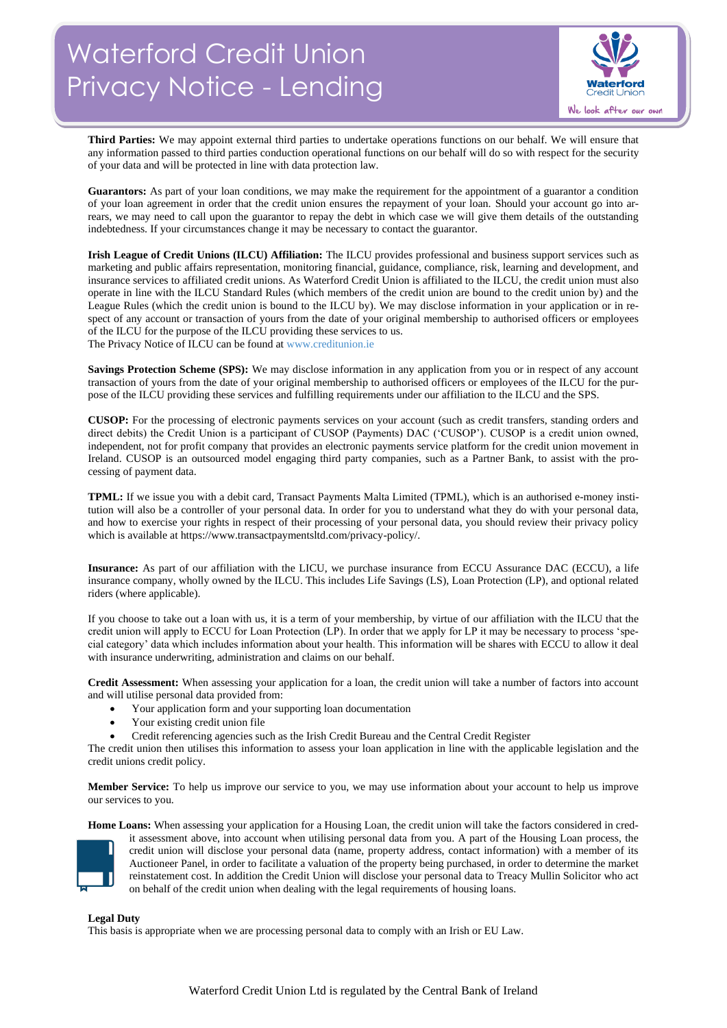

**Third Parties:** We may appoint external third parties to undertake operations functions on our behalf. We will ensure that any information passed to third parties conduction operational functions on our behalf will do so with respect for the security of your data and will be protected in line with data protection law.

Guarantors: As part of your loan conditions, we may make the requirement for the appointment of a guarantor a condition of your loan agreement in order that the credit union ensures the repayment of your loan. Should your account go into arrears, we may need to call upon the guarantor to repay the debt in which case we will give them details of the outstanding indebtedness. If your circumstances change it may be necessary to contact the guarantor.

**Irish League of Credit Unions (ILCU) Affiliation:** The ILCU provides professional and business support services such as marketing and public affairs representation, monitoring financial, guidance, compliance, risk, learning and development, and insurance services to affiliated credit unions. As Waterford Credit Union is affiliated to the ILCU, the credit union must also operate in line with the ILCU Standard Rules (which members of the credit union are bound to the credit union by) and the League Rules (which the credit union is bound to the ILCU by). We may disclose information in your application or in respect of any account or transaction of yours from the date of your original membership to authorised officers or employees of the ILCU for the purpose of the ILCU providing these services to us.

The Privacy Notice of ILCU can be found a[t www.creditunion.ie](http://www.creditunion.ie/)

**Savings Protection Scheme (SPS):** We may disclose information in any application from you or in respect of any account transaction of yours from the date of your original membership to authorised officers or employees of the ILCU for the purpose of the ILCU providing these services and fulfilling requirements under our affiliation to the ILCU and the SPS.

**CUSOP:** For the processing of electronic payments services on your account (such as credit transfers, standing orders and direct debits) the Credit Union is a participant of CUSOP (Payments) DAC ('CUSOP'). CUSOP is a credit union owned, independent, not for profit company that provides an electronic payments service platform for the credit union movement in Ireland. CUSOP is an outsourced model engaging third party companies, such as a Partner Bank, to assist with the processing of payment data.

**TPML:** If we issue you with a debit card, Transact Payments Malta Limited (TPML), which is an authorised e-money institution will also be a controller of your personal data. In order for you to understand what they do with your personal data, and how to exercise your rights in respect of their processing of your personal data, you should review their privacy policy which is available at https://www.transactpaymentsltd.com/privacy-policy/.

**Insurance:** As part of our affiliation with the LICU, we purchase insurance from ECCU Assurance DAC (ECCU), a life insurance company, wholly owned by the ILCU. This includes Life Savings (LS), Loan Protection (LP), and optional related riders (where applicable).

If you choose to take out a loan with us, it is a term of your membership, by virtue of our affiliation with the ILCU that the credit union will apply to ECCU for Loan Protection (LP). In order that we apply for LP it may be necessary to process 'special category' data which includes information about your health. This information will be shares with ECCU to allow it deal with insurance underwriting, administration and claims on our behalf.

**Credit Assessment:** When assessing your application for a loan, the credit union will take a number of factors into account and will utilise personal data provided from:

- Your application form and your supporting loan documentation
- Your existing credit union file
- Credit referencing agencies such as the Irish Credit Bureau and the Central Credit Register

The credit union then utilises this information to assess your loan application in line with the applicable legislation and the credit unions credit policy.

**Member Service:** To help us improve our service to you, we may use information about your account to help us improve our services to you.

**Home Loans:** When assessing your application for a Housing Loan, the credit union will take the factors considered in cred-



it assessment above, into account when utilising personal data from you. A part of the Housing Loan process, the credit union will disclose your personal data (name, property address, contact information) with a member of its Auctioneer Panel, in order to facilitate a valuation of the property being purchased, in order to determine the market reinstatement cost. In addition the Credit Union will disclose your personal data to Treacy Mullin Solicitor who act on behalf of the credit union when dealing with the legal requirements of housing loans.

## **Legal Duty**

This basis is appropriate when we are processing personal data to comply with an Irish or EU Law.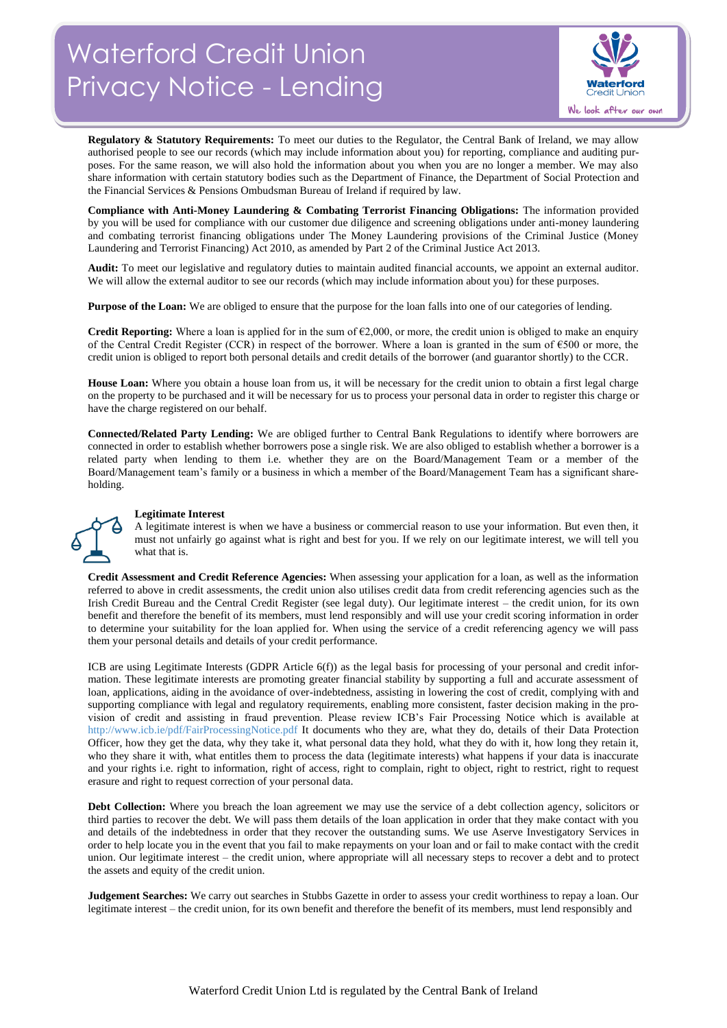

**Regulatory & Statutory Requirements:** To meet our duties to the Regulator, the Central Bank of Ireland, we may allow authorised people to see our records (which may include information about you) for reporting, compliance and auditing purposes. For the same reason, we will also hold the information about you when you are no longer a member. We may also share information with certain statutory bodies such as the Department of Finance, the Department of Social Protection and the Financial Services & Pensions Ombudsman Bureau of Ireland if required by law.

**Compliance with Anti-Money Laundering & Combating Terrorist Financing Obligations:** The information provided by you will be used for compliance with our customer due diligence and screening obligations under anti-money laundering and combating terrorist financing obligations under The Money Laundering provisions of the Criminal Justice (Money Laundering and Terrorist Financing) Act 2010, as amended by Part 2 of the Criminal Justice Act 2013.

**Audit:** To meet our legislative and regulatory duties to maintain audited financial accounts, we appoint an external auditor. We will allow the external auditor to see our records (which may include information about you) for these purposes.

**Purpose of the Loan:** We are obliged to ensure that the purpose for the loan falls into one of our categories of lending.

**Credit Reporting:** Where a loan is applied for in the sum of  $\epsilon$ 2,000, or more, the credit union is obliged to make an enquiry of the Central Credit Register (CCR) in respect of the borrower. Where a loan is granted in the sum of  $\epsilon$ 500 or more, the credit union is obliged to report both personal details and credit details of the borrower (and guarantor shortly) to the CCR.

**House Loan:** Where you obtain a house loan from us, it will be necessary for the credit union to obtain a first legal charge on the property to be purchased and it will be necessary for us to process your personal data in order to register this charge or have the charge registered on our behalf.

**Connected/Related Party Lending:** We are obliged further to Central Bank Regulations to identify where borrowers are connected in order to establish whether borrowers pose a single risk. We are also obliged to establish whether a borrower is a related party when lending to them i.e. whether they are on the Board/Management Team or a member of the Board/Management team's family or a business in which a member of the Board/Management Team has a significant shareholding.



## **Legitimate Interest**

A legitimate interest is when we have a business or commercial reason to use your information. But even then, it must not unfairly go against what is right and best for you. If we rely on our legitimate interest, we will tell you what that is.

**Credit Assessment and Credit Reference Agencies:** When assessing your application for a loan, as well as the information referred to above in credit assessments, the credit union also utilises credit data from credit referencing agencies such as the Irish Credit Bureau and the Central Credit Register (see legal duty). Our legitimate interest – the credit union, for its own benefit and therefore the benefit of its members, must lend responsibly and will use your credit scoring information in order to determine your suitability for the loan applied for. When using the service of a credit referencing agency we will pass them your personal details and details of your credit performance.

ICB are using Legitimate Interests (GDPR Article 6(f)) as the legal basis for processing of your personal and credit information. These legitimate interests are promoting greater financial stability by supporting a full and accurate assessment of loan, applications, aiding in the avoidance of over-indebtedness, assisting in lowering the cost of credit, complying with and supporting compliance with legal and regulatory requirements, enabling more consistent, faster decision making in the provision of credit and assisting in fraud prevention. Please review ICB's Fair Processing Notice which is available at <http://www.icb.ie/pdf/FairProcessingNotice.pdf> It documents who they are, what they do, details of their Data Protection Officer, how they get the data, why they take it, what personal data they hold, what they do with it, how long they retain it, who they share it with, what entitles them to process the data (legitimate interests) what happens if your data is inaccurate and your rights i.e. right to information, right of access, right to complain, right to object, right to restrict, right to request erasure and right to request correction of your personal data.

**Debt Collection:** Where you breach the loan agreement we may use the service of a debt collection agency, solicitors or third parties to recover the debt. We will pass them details of the loan application in order that they make contact with you and details of the indebtedness in order that they recover the outstanding sums. We use Aserve Investigatory Services in order to help locate you in the event that you fail to make repayments on your loan and or fail to make contact with the credit union. Our legitimate interest – the credit union, where appropriate will all necessary steps to recover a debt and to protect the assets and equity of the credit union.

**Judgement Searches:** We carry out searches in Stubbs Gazette in order to assess your credit worthiness to repay a loan. Our legitimate interest – the credit union, for its own benefit and therefore the benefit of its members, must lend responsibly and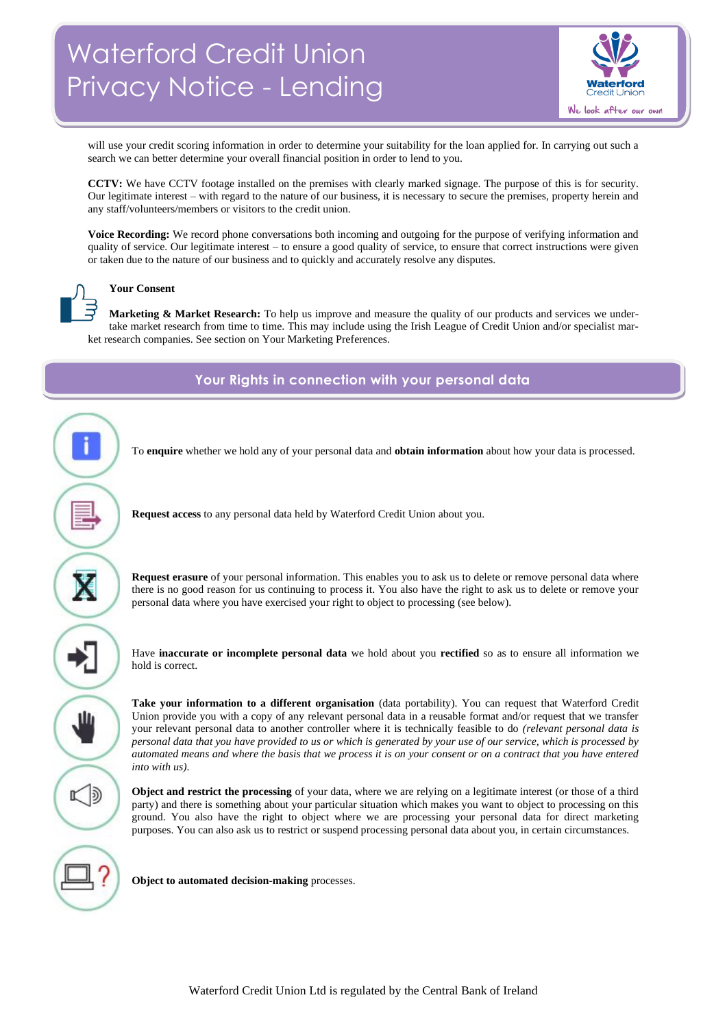

will use your credit scoring information in order to determine your suitability for the loan applied for. In carrying out such a search we can better determine your overall financial position in order to lend to you.

**CCTV:** We have CCTV footage installed on the premises with clearly marked signage. The purpose of this is for security. Our legitimate interest – with regard to the nature of our business, it is necessary to secure the premises, property herein and any staff/volunteers/members or visitors to the credit union.

**Voice Recording:** We record phone conversations both incoming and outgoing for the purpose of verifying information and quality of service. Our legitimate interest – to ensure a good quality of service, to ensure that correct instructions were given or taken due to the nature of our business and to quickly and accurately resolve any disputes.



# **Your Consent**

**Marketing & Market Research:** To help us improve and measure the quality of our products and services we undertake market research from time to time. This may include using the Irish League of Credit Union and/or specialist market research companies. See section on Your Marketing Preferences.

**Your Rights in connection with your personal data**



**Request access** to any personal data held by Waterford Credit Union about you.

**Request erasure** of your personal information. This enables you to ask us to delete or remove personal data where there is no good reason for us continuing to process it. You also have the right to ask us to delete or remove your personal data where you have exercised your right to object to processing (see below).

To **enquire** whether we hold any of your personal data and **obtain information** about how your data is processed.

Have **inaccurate or incomplete personal data** we hold about you **rectified** so as to ensure all information we hold is correct.

ш

 $\mathbb{K}$  D

**Take your information to a different organisation** (data portability). You can request that Waterford Credit Union provide you with a copy of any relevant personal data in a reusable format and/or request that we transfer your relevant personal data to another controller where it is technically feasible to do *(relevant personal data is personal data that you have provided to us or which is generated by your use of our service, which is processed by automated means and where the basis that we process it is on your consent or on a contract that you have entered into with us).*

**Object and restrict the processing** of your data, where we are relying on a legitimate interest (or those of a third party) and there is something about your particular situation which makes you want to object to processing on this ground. You also have the right to object where we are processing your personal data for direct marketing purposes. You can also ask us to restrict or suspend processing personal data about you, in certain circumstances.

**Object to automated decision-making** processes.